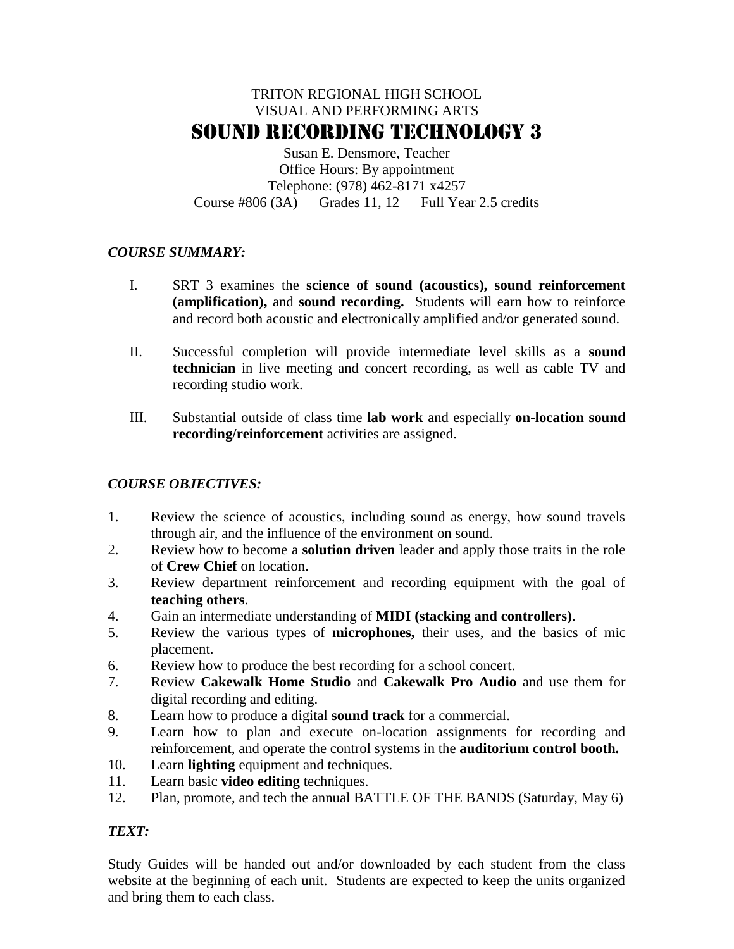# TRITON REGIONAL HIGH SCHOOL VISUAL AND PERFORMING ARTS SOUND RECORDING TECHNOLOGY 3

Susan E. Densmore, Teacher Office Hours: By appointment Telephone: (978) 462-8171 x4257 Course #806 (3A) Grades 11, 12 Full Year 2.5 credits

## *COURSE SUMMARY:*

- I. SRT 3 examines the **science of sound (acoustics), sound reinforcement (amplification),** and **sound recording.** Students will earn how to reinforce and record both acoustic and electronically amplified and/or generated sound.
- II. Successful completion will provide intermediate level skills as a **sound technician** in live meeting and concert recording, as well as cable TV and recording studio work.
- III. Substantial outside of class time **lab work** and especially **on-location sound recording/reinforcement** activities are assigned.

## *COURSE OBJECTIVES:*

- 1. Review the science of acoustics, including sound as energy, how sound travels through air, and the influence of the environment on sound.
- 2. Review how to become a **solution driven** leader and apply those traits in the role of **Crew Chief** on location.
- 3. Review department reinforcement and recording equipment with the goal of **teaching others**.
- 4. Gain an intermediate understanding of **MIDI (stacking and controllers)**.
- 5. Review the various types of **microphones,** their uses, and the basics of mic placement.
- 6. Review how to produce the best recording for a school concert.
- 7. Review **Cakewalk Home Studio** and **Cakewalk Pro Audio** and use them for digital recording and editing.
- 8. Learn how to produce a digital **sound track** for a commercial.
- 9. Learn how to plan and execute on-location assignments for recording and reinforcement, and operate the control systems in the **auditorium control booth.**
- 10. Learn **lighting** equipment and techniques.
- 11. Learn basic **video editing** techniques.
- 12. Plan, promote, and tech the annual BATTLE OF THE BANDS (Saturday, May 6)

## *TEXT:*

Study Guides will be handed out and/or downloaded by each student from the class website at the beginning of each unit. Students are expected to keep the units organized and bring them to each class.